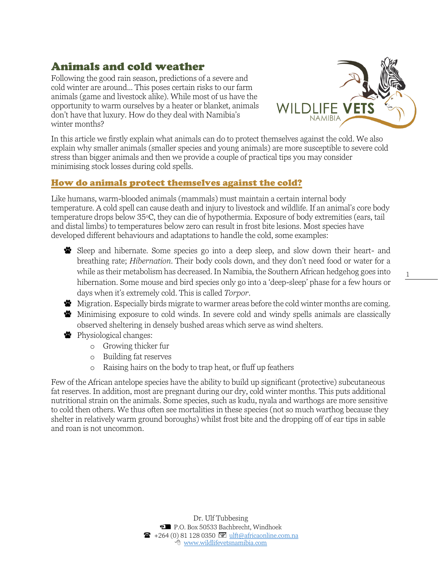# Animals and cold weather

Following the good rain season, predictions of a severe and cold winter are around... This poses certain risks to our farm animals (game and livestock alike). While most of us have the opportunity to warm ourselves by a heater or blanket, animals don't have that luxury. How do they deal with Namibia's winter months?



1

In this article we firstly explain what animals can do to protect themselves against the cold. We also explain why smaller animals (smaller species and young animals) are more susceptible to severe cold stress than bigger animals and then we provide a couple of practical tips you may consider minimising stock losses during cold spells.

## How do animals protect themselves against the cold?

Like humans, warm-blooded animals (mammals) must maintain a certain internal body temperature. A cold spell can cause death and injury to livestock and wildlife. If an animal's core body temperature drops below 35°C, they can die of hypothermia. Exposure of body extremities (ears, tail and distal limbs) to temperatures below zero can result in frost bite lesions. Most species have developed different behaviours and adaptations to handle the cold, some examples:

Sleep and hibernate. Some species go into a deep sleep, and slow down their heart- and breathing rate; *Hibernation*. Their body cools down, and they don't need food or water for a while as their metabolism has decreased. In Namibia, the Southern African hedgehog goes into hibernation. Some mouse and bird species only go into a 'deep-sleep' phase for a few hours or days when it's extremely cold. This is called *Torpor*.

**W** Migration. Especially birds migrate to warmer areas before the cold winter months are coming. Minimising exposure to cold winds. In severe cold and windy spells animals are classically

observed sheltering in densely bushed areas which serve as wind shelters.

- Physiological changes:
	- o Growing thicker fur
	- o Building fat reserves
	- o Raising hairs on the body to trap heat, or fluff up feathers

Few of the African antelope species have the ability to build up significant (protective) subcutaneous fat reserves. In addition, most are pregnant during our dry, cold winter months. This puts additional nutritional strain on the animals. Some species, such as kudu, nyala and warthogs are more sensitive to cold then others. We thus often see mortalities in these species (not so much warthog because they shelter in relatively warm ground boroughs) whilst frost bite and the dropping off of ear tips in sable and roan is not uncommon.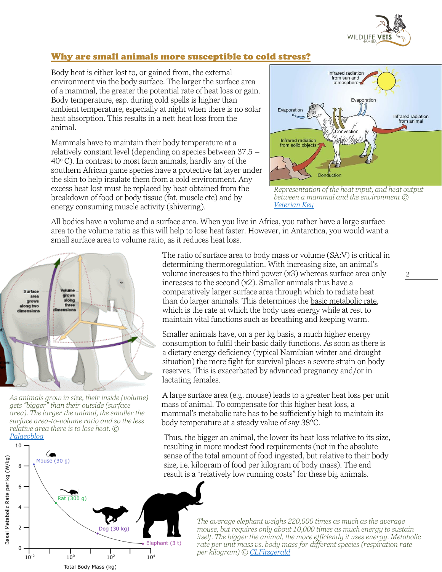

#### Why are small animals more susceptible to cold stress?

Body heat is either lost to, or gained from, the external environment via the body surface. The larger the surface area of a mammal, the greater the potential rate of heat loss or gain. Body temperature, esp. during cold spells is higher than ambient temperature, especially at night when there is no solar heat absorption. This results in a nett heat loss from the animal.

Mammals have to maintain their body temperature at a relatively constant level (depending on species between 37.5 –  $40^{\circ}$  C). In contrast to most farm animals, hardly any of the southern African game species have a protective fat layer under the skin to help insulate them from a cold environment. Any excess heat lost must be replaced by heat obtained from the breakdown of food or body tissue (fat, muscle etc) and by energy consuming muscle activity (shivering).



*Representation of the heat input, and heat output between a mammal and the environment © [Veterian Key](https://veteriankey.com/thermoregulation-2/)*

2

All bodies have a volume and a surface area. When you live in Africa, you rather have a large surface area to the volume ratio as this will help to lose heat faster. However, in Antarctica, you would want a small surface area to volume ratio, as it reduces heat loss.



*As animals grow in size, their inside (volume) gets "bigger" than their outside (surface area). The larger the animal, the smaller the surface area-to-volume ratio and so the less relative area there is to lose heat. © [Palaeoblog](http://palaeoblog.blogspot.com/2014/02/form-function-evolution-of-living.html)*



The ratio of surface area to body mass or volume (SA:V) is critical in determining thermoregulation. With increasing size, an animal's volume increases to the third power (x3) whereas surface area only increases to the second (x2). Smaller animals thus have a comparatively larger surface area through which to radiate heat than do larger animals. This determines the basic metabolic rate, which is the rate at which the body uses energy while at rest to maintain vital functions such as breathing and keeping warm.

Smaller animals have, on a per kg basis, a much higher energy consumption to fulfil their basic daily functions. As soon as there is a dietary energy deficiency (typical Namibian winter and drought situation) the mere fight for survival places a severe strain on body reserves. This is exacerbated by advanced pregnancy and/or in lactating females.

A large surface area (e.g. mouse) leads to a greater heat loss per unit mass of animal. To compensate for this higher heat loss, a mammal's metabolic rate has to be sufficiently high to maintain its body temperature at a steady value of say 38°C.

Thus, the bigger an animal, the lower its heat loss relative to its size, resulting in more modest food requirements (not in the absolute sense of the total amount of food ingested, but relative to their body size, i.e. kilogram of food per kilogram of body mass). The end result is a "relatively low running costs" for these big animals.

The average elephant weighs 220,000 times as much as the average *mouse, but requires only about 10,000 times as much energy to sustain* **264 If the bigger the animal, the more efficiently it uses energy. Metabolic** *itself. The bigger the animal, the more efficiently it uses energy. Metabolic* <sup>t)</sup> rate per unit mass vs. body mass for different species (respiration rate *per kilogram) © [CLFitzgerald](https://commons.wikimedia.org/wiki/File:Animal_metabolic_rates_per_unit_body_mass.png)*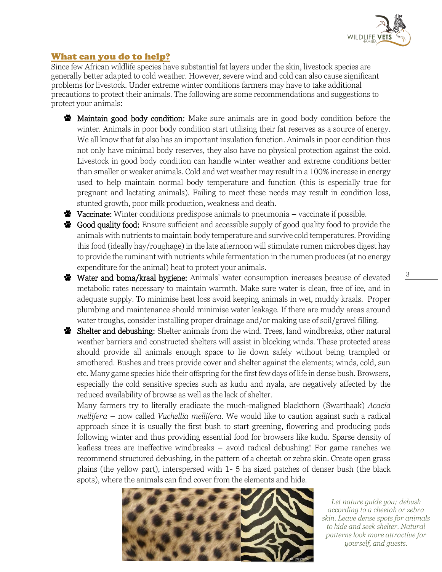

3

## What can you do to help?

Since few African wildlife species have substantial fat layers under the skin, livestock species are generally better adapted to cold weather. However, severe wind and cold can also cause significant problems for livestock. Under extreme winter conditions farmers may have to take additional precautions to protect their animals. The following are some recommendations and suggestions to protect your animals:

- **W** Maintain good body condition: Make sure animals are in good body condition before the winter. Animals in poor body condition start utilising their fat reserves as a source of energy. We all know that fat also has an important insulation function. Animals in poor condition thus not only have minimal body reserves, they also have no physical protection against the cold. Livestock in good body condition can handle winter weather and extreme conditions better than smaller or weaker animals. Cold and wet weather may result in a 100% increase in energy used to help maintain normal body temperature and function (this is especially true for pregnant and lactating animals). Failing to meet these needs may result in condition loss, stunted growth, poor milk production, weakness and death.
- **Vaccinate:** Winter conditions predispose animals to pneumonia  $-\nu$  vaccinate if possible.
- Star Good quality food: Ensure sufficient and accessible supply of good quality food to provide the animals with nutrients to maintain body temperature and survive cold temperatures. Providing this food (ideally hay/roughage) in the late afternoon will stimulate rumen microbes digest hay to provide the ruminant with nutrients while fermentation in the rumen produces (at no energy expenditure for the animal) heat to protect your animals.
- Water and boma/kraal hygiene: Animals' water consumption increases because of elevated metabolic rates necessary to maintain warmth. Make sure water is clean, free of ice, and in adequate supply. To minimise heat loss avoid keeping animals in wet, muddy kraals. Proper plumbing and maintenance should minimise water leakage. If there are muddy areas around water troughs, consider installing proper drainage and/or making use of soil/gravel filling.
- Shelter and debushing: Shelter animals from the wind. Trees, land windbreaks, other natural weather barriers and constructed shelters will assist in blocking winds. These protected areas should provide all animals enough space to lie down safely without being trampled or smothered. Bushes and trees provide cover and shelter against the elements; winds, cold, sun etc. Many game species hide their offspring for the first few days of life in dense bush. Browsers, especially the cold sensitive species such as kudu and nyala, are negatively affected by the reduced availability of browse as well as the lack of shelter.

Many farmers try to literally eradicate the much-maligned blackthorn (Swarthaak) *Acacia mellifera* – now called *Vachellia mellifera*. We would like to caution against such a radical approach since it is usually the first bush to start greening, flowering and producing pods following winter and thus providing essential food for browsers like kudu. Sparse density of leafless trees are ineffective windbreaks – avoid radical debushing! For game ranches we recommend structured debushing, in the pattern of a cheetah or zebra skin. Create open grass plains (the yellow part), interspersed with 1- 5 ha sized patches of denser bush (the black spots), where the animals can find cover from the elements and hide.



*Let nature guide you; debush according to a cheetah or zebra skin. Leave dense spots for animals to hide and seek shelter. Natural patterns look more attractive for yourself, and guests.*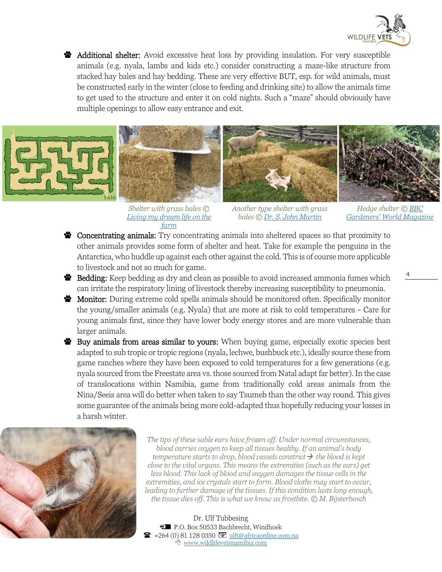

**S** Additional shelter: Avoid excessive heat loss by providing insulation. For very susceptible animals (e.g. nyala, lambs and kids etc.) consider constructing a maze-like structure from stacked hay bales and hay bedding. These are very effective BUT, esp. for wild animals, must be constructed early in the winter (close to feeding and drinking site) to allow the animals time to get used to the structure and enter it on cold nights. Such a "maze" should obviously have multiple openings to allow easy entrance and exit.



*Shelter with grass bales © [Living my dream life on the](https://livingmydreamlifeonthefarm.com/2015/01/07/dang-geese-straw-bale-housing/)  farm*

*Another type shelter with grass bales © [Dr. S. John Martin](http://www.omafra.gov.on.ca/english/livestock/sheep/facts/98-089.htm)*

*Hedge shelter © [BBC](https://www.gardenersworld.com/how-to/diy/how-to-make-a-wildlife-shelter/)  [Gardeners' World Magazine](https://www.gardenersworld.com/how-to/diy/how-to-make-a-wildlife-shelter/)*

4

- Concentratin[g animals:](https://livingmydreamlifeonthefarm.com/2015/01/07/dang-geese-straw-bale-housing/) Try concentrating animals into sheltered spaces so that proximity to other animals provides some form of shelter and heat. Take for example the penguins in the Antarctica, who huddle up against each other against the cold. This is of course more applicable to livestock and not so much for game.
- Bedding: Keep bedding as dry and clean as possible to avoid increased ammonia fumes which can irritate the respiratory lining of livestock thereby increasing susceptibility to pneumonia.
- Monitor: During extreme cold spells animals should be monitored often. Specifically monitor the young/smaller animals (e.g. Nyala) that are more at risk to cold temperatures - Care for young animals first, since they have lower body energy stores and are more vulnerable than larger animals.
- Buy animals from areas similar to yours: When buying game, especially exotic species best adapted to sub tropic or tropic regions (nyala, lechwe, bushbuck etc.), ideally source these from game ranches where they have been exposed to cold temperatures for a few generations (e.g. nyala sourced from the Freestate area vs. those sourced from Natal adapt far better). In the case of translocations within Namibia, game from traditionally cold areas animals from the Nina/Seeis area will do better when taken to say Tsumeb than the other way round. This gives some guarantee of the animals being more cold-adapted thus hopefully reducing your losses in a harsh winter.



*The tips of these sable ears have frozen off. Under normal circumstances, blood carries oxygen to keep all tissues healthy. If an animal's body temperature starts to drop, blood vessels constrict*→ *the blood is kept close to the vital organs. This means the extremities (such as the ears) get less blood. This lack of blood and oxygen damages the tissue cells in the extremities, and ice crystals start to form. Blood cloths may start to occur, leading to further damage of the tissues. If this condition lasts long enough, the tissue dies off. This is what we know as frostbite. © M. Bijsterbosch*

Dr. Ulf Tubbesing P.O. Box 50533 Bachbrecht, Windhoek +264 (0) 81 128 0350 @ ulft@africaonline.com.na  $\overline{\textcircled{f}}$  [www.wildlifevetsnamibia.com](http://www.wildlifevetsnamibia.com/)